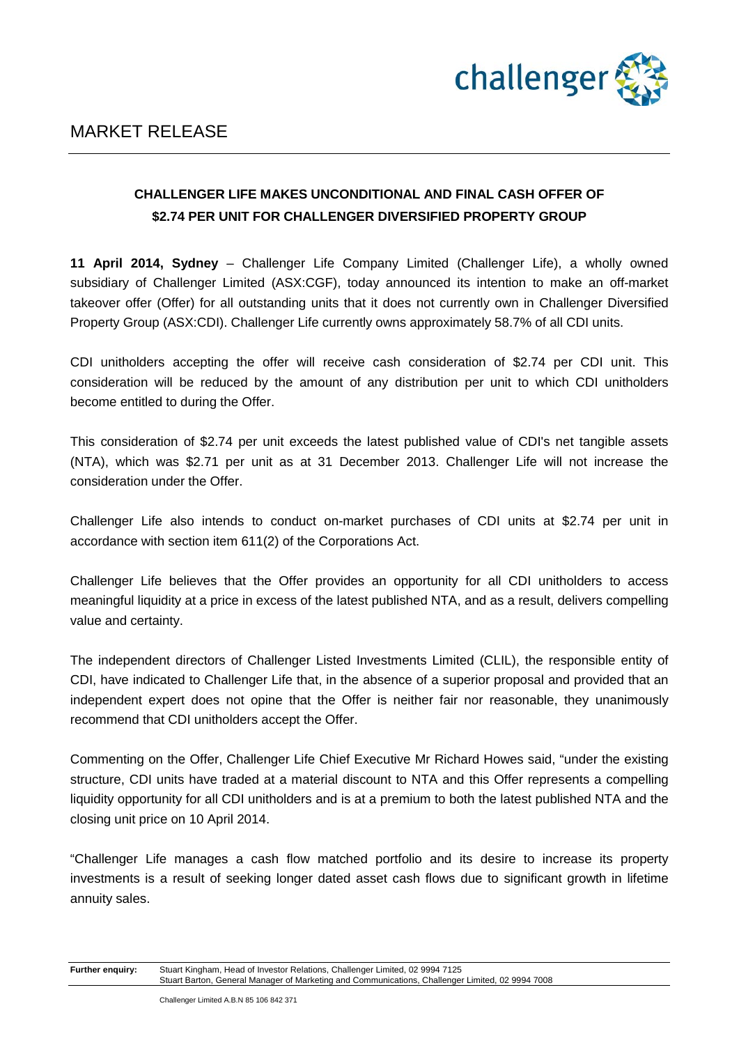

## **CHALLENGER LIFE MAKES UNCONDITIONAL AND FINAL CASH OFFER OF \$2.74 PER UNIT FOR CHALLENGER DIVERSIFIED PROPERTY GROUP**

**11 April 2014, Sydney** – Challenger Life Company Limited (Challenger Life), a wholly owned subsidiary of Challenger Limited (ASX:CGF), today announced its intention to make an off-market takeover offer (Offer) for all outstanding units that it does not currently own in Challenger Diversified Property Group (ASX:CDI). Challenger Life currently owns approximately 58.7% of all CDI units.

CDI unitholders accepting the offer will receive cash consideration of \$2.74 per CDI unit. This consideration will be reduced by the amount of any distribution per unit to which CDI unitholders become entitled to during the Offer.

This consideration of \$2.74 per unit exceeds the latest published value of CDI's net tangible assets (NTA), which was \$2.71 per unit as at 31 December 2013. Challenger Life will not increase the consideration under the Offer.

Challenger Life also intends to conduct on-market purchases of CDI units at \$2.74 per unit in accordance with section item 611(2) of the Corporations Act.

Challenger Life believes that the Offer provides an opportunity for all CDI unitholders to access meaningful liquidity at a price in excess of the latest published NTA, and as a result, delivers compelling value and certainty.

The independent directors of Challenger Listed Investments Limited (CLIL), the responsible entity of CDI, have indicated to Challenger Life that, in the absence of a superior proposal and provided that an independent expert does not opine that the Offer is neither fair nor reasonable, they unanimously recommend that CDI unitholders accept the Offer.

Commenting on the Offer, Challenger Life Chief Executive Mr Richard Howes said, "under the existing structure, CDI units have traded at a material discount to NTA and this Offer represents a compelling liquidity opportunity for all CDI unitholders and is at a premium to both the latest published NTA and the closing unit price on 10 April 2014.

"Challenger Life manages a cash flow matched portfolio and its desire to increase its property investments is a result of seeking longer dated asset cash flows due to significant growth in lifetime annuity sales.